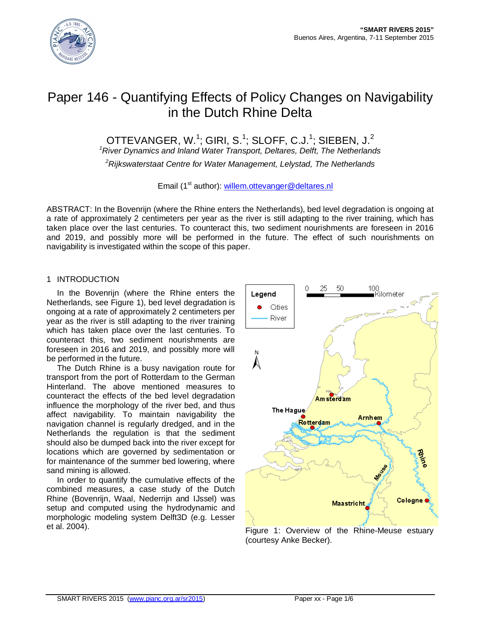

# Paper 146 - Quantifying Effects of Policy Changes on Navigability in the Dutch Rhine Delta

OTTEVANGER, W. $^1$ ; GIRI, S. $^1$ ; SLOFF, C.J. $^1$ ; SIEBEN, J. $^2$ 

*<sup>1</sup>River Dynamics and Inland Water Transport, Deltares, Delft, The Netherlands*

*<sup>2</sup>Rijkswaterstaat Centre for Water Management, Lelystad, The Netherlands*

Email (1<sup>st</sup> author): [willem.ottevanger@deltares.nl](mailto:willem.ottevanger@deltares.nl)

ABSTRACT: In the Bovenrijn (where the Rhine enters the Netherlands), bed level degradation is ongoing at a rate of approximately 2 centimeters per year as the river is still adapting to the river training, which has taken place over the last centuries. To counteract this, two sediment nourishments are foreseen in 2016 and 2019, and possibly more will be performed in the future. The effect of such nourishments on navigability is investigated within the scope of this paper.

# 1 INTRODUCTION

In the Bovenrijn (where the Rhine enters the Netherlands, see Figure 1), bed level degradation is ongoing at a rate of approximately 2 centimeters per year as the river is still adapting to the river training which has taken place over the last centuries. To counteract this, two sediment nourishments are foreseen in 2016 and 2019, and possibly more will be performed in the future.

The Dutch Rhine is a busy navigation route for transport from the port of Rotterdam to the German Hinterland. The above mentioned measures to counteract the effects of the bed level degradation influence the morphology of the river bed, and thus affect navigability. To maintain navigability the navigation channel is regularly dredged, and in the Netherlands the regulation is that the sediment should also be dumped back into the river except for locations which are governed by sedimentation or for maintenance of the summer bed lowering, where sand mining is allowed.

In order to quantify the cumulative effects of the combined measures, a case study of the Dutch Rhine (Bovenrijn, Waal, Nederrijn and IJssel) was setup and computed using the hydrodynamic and morphologic modeling system Delft3D (e.g. Lesser



et al. 2004). Figure 1: Overview of the Rhine-Meuse estuary (courtesy Anke Becker).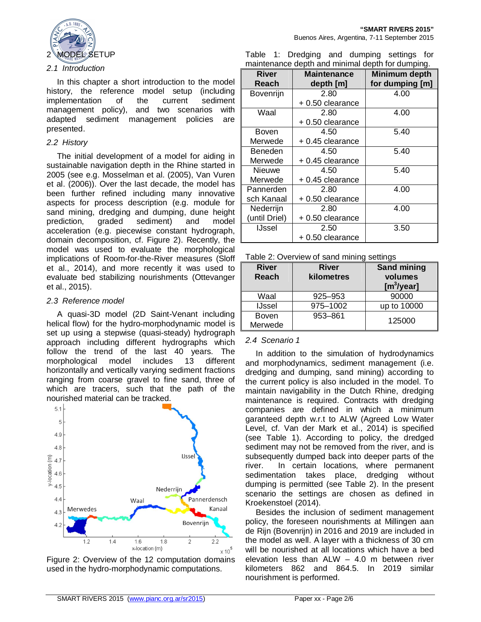

#### *2.1 Introduction*

In this chapter a short introduction to the model history, the reference model setup (including implementation of the current sediment management policy), and two scenarios with adapted sediment management policies are presented.

#### *2.2 History*

The initial development of a model for aiding in sustainable navigation depth in the Rhine started in 2005 (see e.g. Mosselman et al. (2005), Van Vuren et al. (2006)). Over the last decade, the model has been further refined including many innovative aspects for process description (e.g. module for sand mining, dredging and dumping, dune height prediction, graded sediment) and model acceleration (e.g. piecewise constant hydrograph, domain decomposition, cf. Figure 2). Recently, the model was used to evaluate the morphological implications of Room-for-the-River measures (Sloff et al., 2014), and more recently it was used to evaluate bed stabilizing nourishments (Ottevanger et al., 2015).

#### *2.3 Reference model*

A quasi-3D model (2D Saint-Venant including helical flow) for the hydro-morphodynamic model is set up using a stepwise (quasi-steady) hydrograph approach including different hydrographs which follow the trend of the last 40 years. The morphological model includes 13 different horizontally and vertically varying sediment fractions ranging from coarse gravel to fine sand, three of which are tracers, such that the path of the nourished material can be tracked.



Figure 2: Overview of the 12 computation domains used in the hydro-morphodynamic computations.

Table 1: Dredging and dumping settings for maintenance depth and minimal depth for dumping.

| <b>River</b><br>Reach | <b>Maintenance</b><br>depth [m] | <b>Minimum depth</b><br>for dumping [m] |
|-----------------------|---------------------------------|-----------------------------------------|
| Bovenrijn             | 2.80                            | 4.00                                    |
|                       | + 0.50 clearance                |                                         |
| Waal                  | 2.80                            | 4.00                                    |
|                       | + 0.50 clearance                |                                         |
| Boven                 | 4.50                            | 5.40                                    |
| Merwede               | + 0.45 clearance                |                                         |
| Beneden               | 4.50                            | 5.40                                    |
| Merwede               | +0.45 clearance                 |                                         |
| Nieuwe                | 4.50                            | 5.40                                    |
| Merwede               | + 0.45 clearance                |                                         |
| Pannerden             | 2.80                            | 4.00                                    |
| sch Kanaal            | +0.50 clearance                 |                                         |
| Nederrijn             | 2.80                            | 4.00                                    |
| (until Driel)         | +0.50 clearance                 |                                         |
| <b>IJssel</b>         | 2.50                            | 3.50                                    |
|                       | + 0.50 clearance                |                                         |

| <b>River</b><br><b>Reach</b> | <b>River</b><br>kilometres | <b>Sand mining</b><br>volumes<br>[m <sup>3</sup> /year] |
|------------------------------|----------------------------|---------------------------------------------------------|
| Waal                         | 925-953                    | 90000                                                   |
| <b>IJssel</b>                | 975-1002                   | up to 10000                                             |
| <b>Boven</b><br>Merwede      | 953-861                    | 125000                                                  |

# *2.4 Scenario 1*

In addition to the simulation of hydrodynamics and morphodynamics, sediment management (i.e. dredging and dumping, sand mining) according to the current policy is also included in the model. To maintain navigability in the Dutch Rhine, dredging maintenance is required. Contracts with dredging companies are defined in which a minimum garanteed depth w.r.t to ALW (Agreed Low Water Level, cf. Van der Mark et al., 2014) is specified (see Table 1). According to policy, the dredged sediment may not be removed from the river, and is subsequently dumped back into deeper parts of the river. In certain locations, where permanent sedimentation takes place, dredging without dumping is permitted (see Table 2). In the present scenario the settings are chosen as defined in Kroekenstoel (2014).

Besides the inclusion of sediment management policy, the foreseen nourishments at Millingen aan de Rijn (Bovenrijn) in 2016 and 2019 are included in the model as well. A layer with a thickness of 30 cm will be nourished at all locations which have a bed elevation less than ALW – 4.0 m between river kilometers 862 and 864.5. In 2019 similar nourishment is performed.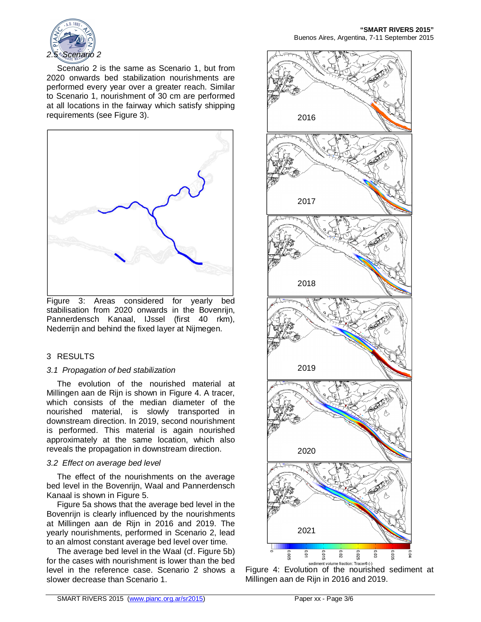

Scenario 2 is the same as Scenario 1, but from 2020 onwards bed stabilization nourishments are performed every year over a greater reach. Similar to Scenario 1, nourishment of 30 cm are performed at all locations in the fairway which satisfy shipping requirements (see Figure 3).



Figure 3: Areas considered for yearly bed stabilisation from 2020 onwards in the Bovenrijn, Pannerdensch Kanaal, IJssel (first 40 rkm), Nederrijn and behind the fixed layer at Nijmegen.

# 3 RESULTS

# *3.1 Propagation of bed stabilization*

The evolution of the nourished material at Millingen aan de Rijn is shown in Figure 4. A tracer, which consists of the median diameter of the nourished material, is slowly transported in downstream direction. In 2019, second nourishment is performed. This material is again nourished approximately at the same location, which also reveals the propagation in downstream direction.

# *3.2 Effect on average bed level*

The effect of the nourishments on the average bed level in the Bovenrijn, Waal and Pannerdensch Kanaal is shown in Figure 5.

Figure 5a shows that the average bed level in the Bovenrijn is clearly influenced by the nourishments at Millingen aan de Rijn in 2016 and 2019. The yearly nourishments, performed in Scenario 2, lead to an almost constant average bed level over time.

The average bed level in the Waal (cf. Figure 5b) for the cases with nourishment is lower than the bed level in the reference case. Scenario 2 shows a slower decrease than Scenario 1.



Figure 4: Evolution of the nourished sediment at Millingen aan de Rijn in 2016 and 2019.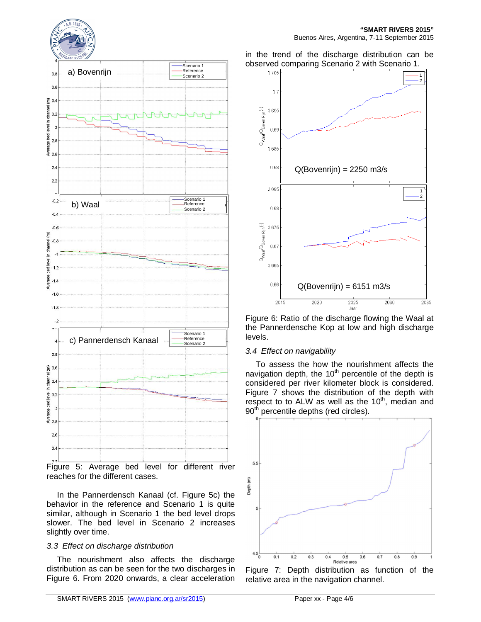



reaches for the different cases.

In the Pannerdensch Kanaal (cf. Figure 5c) the behavior in the reference and Scenario 1 is quite similar, although in Scenario 1 the bed level drops slower. The bed level in Scenario 2 increases slightly over time.

# *3.3 Effect on discharge distribution*

The nourishment also affects the discharge distribution as can be seen for the two discharges in Figure 6. From 2020 onwards, a clear acceleration

#### in the trend of the discharge distribution can be observed comparing Scenario 2 with Scenario 1.



Figure 6: Ratio of the discharge flowing the Waal at the Pannerdensche Kop at low and high discharge levels.

#### *3.4 Effect on navigability*

To assess the how the nourishment affects the navigation depth, the 10<sup>th</sup> percentile of the depth is considered per river kilometer block is considered. Figure 7 shows the distribution of the depth with respect to to ALW as well as the  $10<sup>th</sup>$ , median and 90<sup>th</sup> percentile depths (red circles).



Figure 7: Depth distribution as function of the relative area in the navigation channel.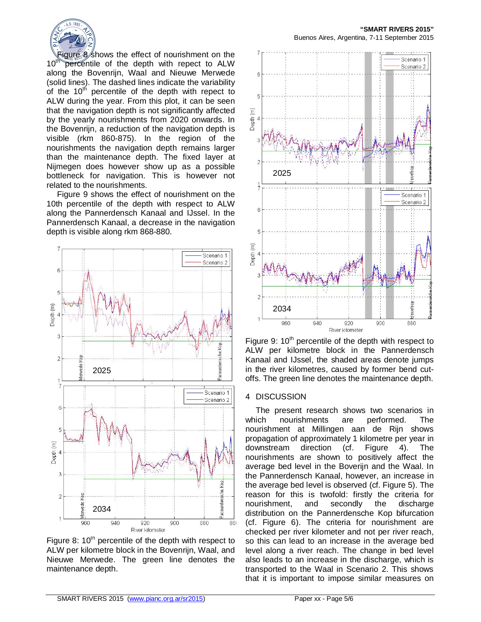

Figure 8 shows the effect of nourishment on the 10<sup>th</sup> percentile of the depth with repect to ALW percentile of the depth with repect to ALW along the Bovenrijn, Waal and Nieuwe Merwede (solid lines). The dashed lines indicate the variability of the  $10<sup>th</sup>$  percentile of the depth with repect to ALW during the year. From this plot, it can be seen that the navigation depth is not significantly affected by the yearly nourishments from 2020 onwards. In the Bovenrijn, a reduction of the navigation depth is visible (rkm 860-875). In the region of the nourishments the navigation depth remains larger than the maintenance depth. The fixed layer at Nijmegen does however show up as a possible bottleneck for navigation. This is however not related to the nourishments.

Figure 9 shows the effect of nourishment on the 10th percentile of the depth with respect to ALW along the Pannerdensch Kanaal and IJssel. In the Pannerdensch Kanaal, a decrease in the navigation depth is visible along rkm 868-880.



Figure 8:  $10<sup>th</sup>$  percentile of the depth with respect to ALW per kilometre block in the Bovenrijn, Waal, and Nieuwe Merwede. The green line denotes the maintenance depth.



Figure 9:  $10<sup>th</sup>$  percentile of the depth with respect to ALW per kilometre block in the Pannerdensch Kanaal and IJssel, the shaded areas denote jumps in the river kilometres, caused by former bend cutoffs. The green line denotes the maintenance depth.

#### 4 DISCUSSION

The present research shows two scenarios in<br>ich nourishments are performed. The which nourishments are performed. The nourishment at Millingen aan de Rijn shows propagation of approximately 1 kilometre per year in downstream direction (cf. Figure 4). The nourishments are shown to positively affect the average bed level in the Boverijn and the Waal. In the Pannerdensch Kanaal, however, an increase in the average bed level is observed (cf. Figure 5). The reason for this is twofold: firstly the criteria for nourishment, and secondly the discharge distribution on the Pannerdensche Kop bifurcation (cf. Figure 6). The criteria for nourishment are checked per river kilometer and not per river reach, so this can lead to an increase in the average bed level along a river reach. The change in bed level also leads to an increase in the discharge, which is transported to the Waal in Scenario 2. This shows that it is important to impose similar measures on